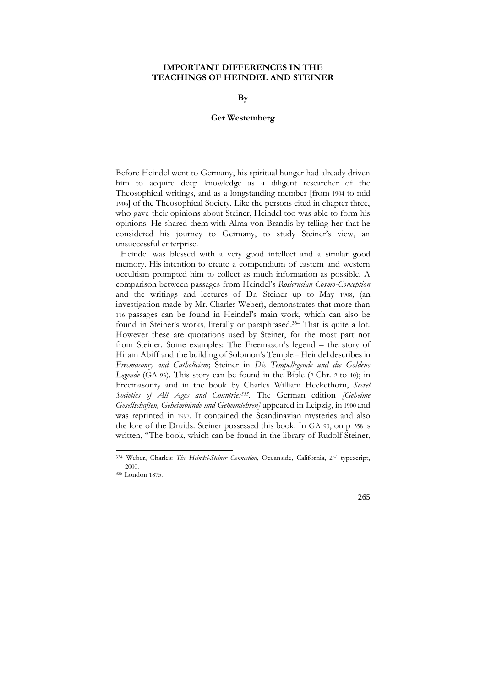## **IMPORTANT DIFFERENCES IN THE TEACHINGS OF HEINDEL AND STEINER**

**By** 

## **Ger Westemberg**

Before Heindel went to Germany, his spiritual hunger had already driven him to acquire deep knowledge as a diligent researcher of the Theosophical writings, and as a longstanding member [from 1904 to mid 1906] of the Theosophical Society. Like the persons cited in chapter three, who gave their opinions about Steiner, Heindel too was able to form his opinions. He shared them with Alma von Brandis by telling her that he considered his journey to Germany, to study Steiner"s view, an unsuccessful enterprise.

 Heindel was blessed with a very good intellect and a similar good memory. His intention to create a compendium of eastern and western occultism prompted him to collect as much information as possible. A comparison between passages from Heindel"s *Rosicrucian Cosmo-Conception* and the writings and lectures of Dr. Steiner up to May 1908, (an investigation made by Mr. Charles Weber), demonstrates that more than 116 passages can be found in Heindel"s main work, which can also be found in Steiner's works, literally or paraphrased.<sup>334</sup> That is quite a lot. However these are quotations used by Steiner, for the most part not from Steiner. Some examples: The Freemason"s legend – the story of Hiram Abiff and the building of Solomon"s Temple – Heindel describes in *Freemasonry and Catholicism*; Steiner in *Die Tempellegende und die Goldene Legende* (GA 93). This story can be found in the Bible (2 Chr. 2 to 10); in Freemasonry and in the book by Charles William Heckethorn, *Secret Societies of All Ages and Countries<sup>335</sup> .* The German edition *[Geheime Gesellschaften, Geheimbünde und Geheimlehren]* appeared in Leipzig, in 1900 and was reprinted in 1997. It contained the Scandinavian mysteries and also the lore of the Druids. Steiner possessed this book. In GA 93, on p. 358 is written, "The book, which can be found in the library of Rudolf Steiner,

<sup>334</sup> Weber, Charles: *The Heindel-Steiner Connection,* Oceanside, California, 2 nd typescript, 2000.

<sup>335</sup> London 1875.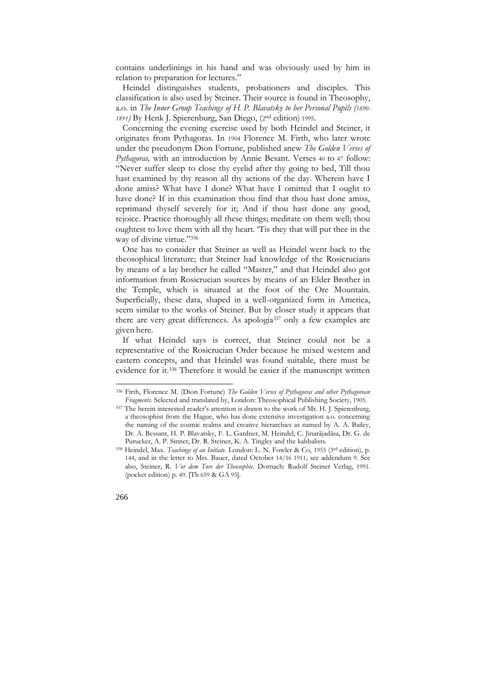contains underlinings in his hand and was obviously used by him in relation to preparation for lectures."

 Heindel distinguishes students, probationers and disciples. This classification is also used by Steiner. Their source is found in Theosophy, a.o. in *The Inner Group Teachings of H. P. Blavatsky to her Personal Pupils (1890- 1891)* By Henk J. Spierenburg, San Diego, (2 nd edition) 1995.

 Concerning the evening exercise used by both Heindel and Steiner, it originates from Pythagoras. In 1904 Florence M. Firth, who later wrote under the pseudonym Dion Fortune, published anew *The Golden Verses of Pythagoras,* with an introduction by Annie Besant. Verses 40 to 47 follow: "Never suffer sleep to close thy eyelid after thy going to bed, Till thou hast examined by thy reason all thy actions of the day. Wherein have I done amiss? What have I done? What have I omitted that I ought to have done? If in this examination thou find that thou hast done amiss, reprimand thyself severely for it; And if thou hast done any good, rejoice. Practice thoroughly all these things; meditate on them well; thou oughtest to love them with all thy heart. "Tis they that will put thee in the way of divine virtue."336

 One has to consider that Steiner as well as Heindel went back to the theosophical literature; that Steiner had knowledge of the Rosicrucians by means of a lay brother he called "Master," and that Heindel also got information from Rosicrucian sources by means of an Elder Brother in the Temple, which is situated at the foot of the Ore Mountain. Superficially, these data, shaped in a well-organized form in America, seem similar to the works of Steiner. But by closer study it appears that there are very great differences. As apologia<sup>337</sup> only a few examples are given here.

 If what Heindel says is correct, that Steiner could not be a representative of the Rosicrucian Order because he mixed western and eastern concepts, and that Heindel was found suitable, there must be evidence for it.<sup>338</sup> Therefore it would be easier if the manuscript written

<sup>338</sup> Heindel, Max. *Teachings of an Initiate*. London: L. N. Fowler & Co, 1955 (3 rd edition), p. 144, and in the letter to Mrs. Bauer, dated October 14/16 1911; see addendum 9. See also, Steiner, R. *Vor dem Tore der Theosophie.* Dornach: Rudolf Steiner Verlag, 1991. (pocket edition) p. 49. [Tb 659 & GA 95].



<sup>336</sup> Firth, Florence M. (Dion Fortune) *The Golden Verses of Pythagoras and other Pythagorean Fragments.* Selected and translated by, London: Theosophical Publishing Society, 1905.

<sup>337</sup> The herein interested reader's attention is drawn to the work of Mr. H. J. Spierenburg, a theosophist from the Hague, who has done extensive investigation a.o. concerning the naming of the cosmic realms and creative hierarchies as named by A. A. Bailey, Dr. A. Bessant, H. P. Blavatsky, F. L. Gardner, M. Heindel, C. Jinarãjadãsa, Dr. G. de Purucker, A. P. Sinnet, Dr. R. Steiner, K. A. Tingley and the kabbalists.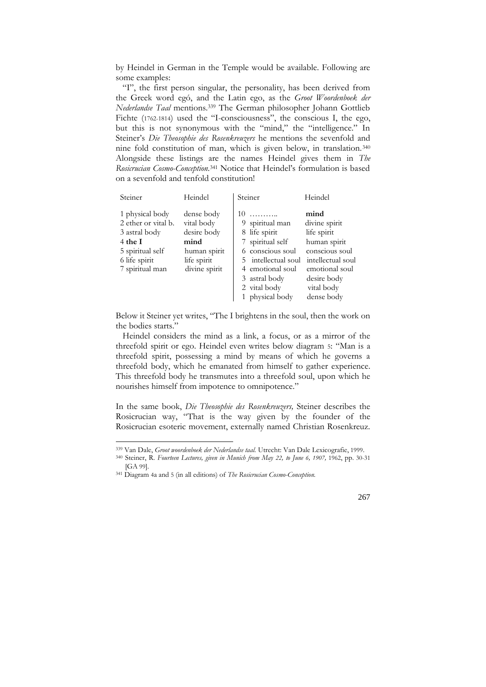by Heindel in German in the Temple would be available. Following are some examples:

 "I", the first person singular, the personality, has been derived from the Greek word egó, and the Latin ego, as the *Groot Woordenboek der Nederlandse Taal* mentions.<sup>339</sup> The German philosopher Johann Gottlieb Fichte (1762-1814) used the "I-consciousness", the conscious I, the ego, but this is not synonymous with the "mind," the "intelligence." In Steiner's *Die Theosophie des Rosenkreuzers* he mentions the sevenfold and nine fold constitution of man, which is given below, in translation.<sup>340</sup> Alongside these listings are the names Heindel gives them in *The Rosicrucian Cosmo-Conception*. <sup>341</sup> Notice that Heindel"s formulation is based on a sevenfold and tenfold constitution!

| Steiner                                                                                                                    | Heindel                                                                                         | Steiner                                                                                                                                                                         | Heindel                                                                                                                                                  |
|----------------------------------------------------------------------------------------------------------------------------|-------------------------------------------------------------------------------------------------|---------------------------------------------------------------------------------------------------------------------------------------------------------------------------------|----------------------------------------------------------------------------------------------------------------------------------------------------------|
| 1 physical body<br>2 ether or vital b.<br>3 astral body<br>4 the I<br>5 spiritual self<br>6 life spirit<br>7 spiritual man | dense body<br>vital body<br>desire body<br>mind<br>human spirit<br>life spirit<br>divine spirit | $10$<br>9 spiritual man<br>8 life spirit<br>7 spiritual self<br>6 conscious soul<br>5 intellectual soul<br>4 emotional soul<br>3 astral body<br>2 vital body<br>1 physical body | mind<br>divine spirit<br>life spirit<br>human spirit<br>conscious soul<br>intellectual soul<br>emotional soul<br>desire body<br>vital body<br>dense body |

Below it Steiner yet writes, "The I brightens in the soul, then the work on the bodies starts."

 Heindel considers the mind as a link, a focus, or as a mirror of the threefold spirit or ego. Heindel even writes below diagram 5: "Man is a threefold spirit, possessing a mind by means of which he governs a threefold body, which he emanated from himself to gather experience. This threefold body he transmutes into a threefold soul, upon which he nourishes himself from impotence to omnipotence."

In the same book, *Die Theosophie des Rosenkreuzers,* Steiner describes the Rosicrucian way, "That is the way given by the founder of the Rosicrucian esoteric movement, externally named Christian Rosenkreuz.

-

267

<sup>339</sup> Van Dale, *Groot woordenboek der Nederlandse taal.* Utrecht: Van Dale Lexicografie, 1999.

<sup>340</sup> Steiner, R. *Fourteen Lectures, given in Munich from May 22, to June 6, 1907,* 1962, pp. 30-31 [GA 99].

<sup>341</sup> Diagram 4a and 5 (in all editions) of *The Rosicrucian Cosmo-Conception.*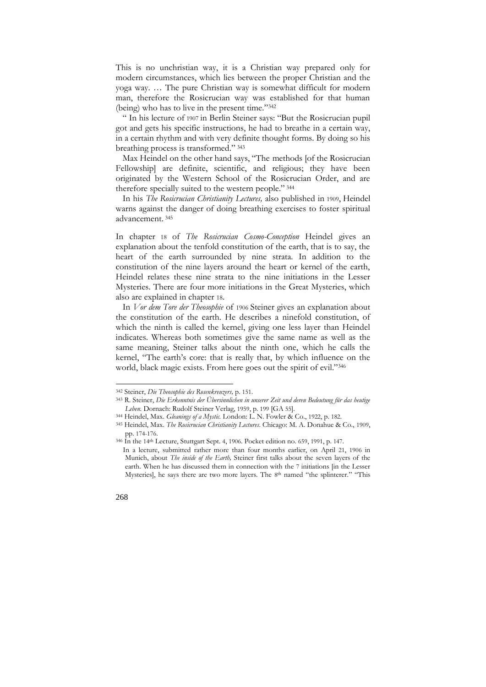This is no unchristian way, it is a Christian way prepared only for modern circumstances, which lies between the proper Christian and the yoga way. … The pure Christian way is somewhat difficult for modern man, therefore the Rosicrucian way was established for that human (being) who has to live in the present time."<sup>342</sup>

 " In his lecture of 1907 in Berlin Steiner says: "But the Rosicrucian pupil got and gets his specific instructions, he had to breathe in a certain way, in a certain rhythm and with very definite thought forms. By doing so his breathing process is transformed." <sup>343</sup>

 Max Heindel on the other hand says, "The methods [of the Rosicrucian Fellowship] are definite, scientific, and religious; they have been originated by the Western School of the Rosicrucian Order, and are therefore specially suited to the western people." <sup>344</sup>

 In his *The Rosicrucian Christianity Lectures,* also published in 1909, Heindel warns against the danger of doing breathing exercises to foster spiritual advancement. <sup>345</sup>

In chapter 18 of *The Rosicrucian Cosmo-Conception* Heindel gives an explanation about the tenfold constitution of the earth, that is to say, the heart of the earth surrounded by nine strata. In addition to the constitution of the nine layers around the heart or kernel of the earth, Heindel relates these nine strata to the nine initiations in the Lesser Mysteries. There are four more initiations in the Great Mysteries, which also are explained in chapter 18.

 In *Vor dem Tore der Theosophie* of 1906 Steiner gives an explanation about the constitution of the earth. He describes a ninefold constitution, of which the ninth is called the kernel, giving one less layer than Heindel indicates. Whereas both sometimes give the same name as well as the same meaning, Steiner talks about the ninth one, which he calls the kernel, "The earth's core: that is really that, by which influence on the world, black magic exists. From here goes out the spirit of evil."<sup>346</sup>

In a lecture, submitted rather more than four months earlier, on April 21, 1906 in Munich, about *The inside of the Earth,* Steiner first talks about the seven layers of the earth. When he has discussed them in connection with the 7 initiations [in the Lesser Mysteries], he says there are two more layers. The 8<sup>th</sup> named "the splinterer." "This



<sup>342</sup> Steiner, *Die Theosophie des Rosenkreuzers,* p. 151.

<sup>343</sup> R. Steiner, *Die Erkenntnis der Übersinnlichen in unserer Zeit und deren Bedeutung für das heutige Leben.* Dornach: Rudolf Steiner Verlag, 1959, p. 199 [GA 55].

<sup>344</sup> Heindel, Max. *Gleanings of a Mystic.* London: L. N. Fowler & Co., 1922, p. 182.

<sup>345</sup> Heindel, Max. *The Rosicrucian Christianity Lectures*. Chicago: M. A. Donahue & Co., 1909, pp. 174-176.

<sup>346</sup> In the 14th Lecture, Stuttgart Sept. 4, 1906. Pocket edition no. 659, 1991, p. 147.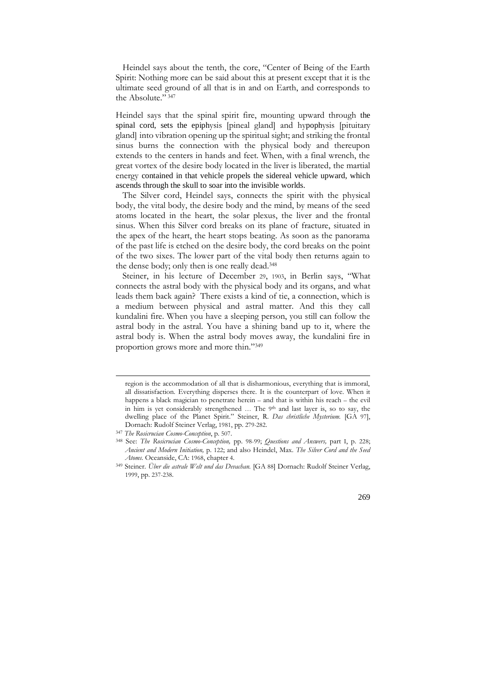Heindel says about the tenth, the core, "Center of Being of the Earth Spirit: Nothing more can be said about this at present except that it is the ultimate seed ground of all that is in and on Earth, and corresponds to the Absolute." 347

Heindel says that the spinal spirit fire, mounting upward through the spinal cord, sets the epiphysis [pineal gland] and hypophysis [pituitary gland] into vibration opening up the spiritual sight; and striking the frontal sinus burns the connection with the physical body and thereupon extends to the centers in hands and feet. When, with a final wrench, the great vortex of the desire body located in the liver is liberated, the martial energy contained in that vehicle propels the sidereal vehicle upward, which ascends through the skull to soar into the invisible worlds.

 The Silver cord, Heindel says, connects the spirit with the physical body, the vital body, the desire body and the mind, by means of the seed atoms located in the heart, the solar plexus, the liver and the frontal sinus. When this Silver cord breaks on its plane of fracture, situated in the apex of the heart, the heart stops beating. As soon as the panorama of the past life is etched on the desire body, the cord breaks on the point of the two sixes. The lower part of the vital body then returns again to the dense body; only then is one really dead.<sup>348</sup>

 Steiner, in his lecture of December 29, 1903, in Berlin says, "What connects the astral body with the physical body and its organs, and what leads them back again? There exists a kind of tie, a connection, which is a medium between physical and astral matter. And this they call kundalini fire. When you have a sleeping person, you still can follow the astral body in the astral. You have a shining band up to it, where the astral body is. When the astral body moves away, the kundalini fire in proportion grows more and more thin."<sup>349</sup>

1

<sup>349</sup> Steiner. *Über die astrale Welt und das Devachan.* [GA 88] Dornach: Rudolf Steiner Verlag, 1999, pp. 237-238.



region is the accommodation of all that is disharmonious, everything that is immoral, all dissatisfaction. Everything disperses there. It is the counterpart of love. When it happens a black magician to penetrate herein – and that is within his reach – the evil in him is yet considerably strengthened ... The 9th and last layer is, so to say, the dwelling place of the Planet Spirit." Steiner, R. *Das christliche Mysterium.* [GA 97], Dornach: Rudolf Steiner Verlag, 1981, pp. 279-282.

<sup>347</sup> *The Rosicrucian Cosmo-Conception*, p. 507.

<sup>348</sup> See: *The Rosicrucian Cosmo-Conception,* pp. 98-99; *Questions and Answers,* part I, p. 228; *Ancient and Modern Initiation,* p. 122; and also Heindel, Max. *The Silver Cord and the Seed Atoms.* Oceanside, CA: 1968, chapter 4.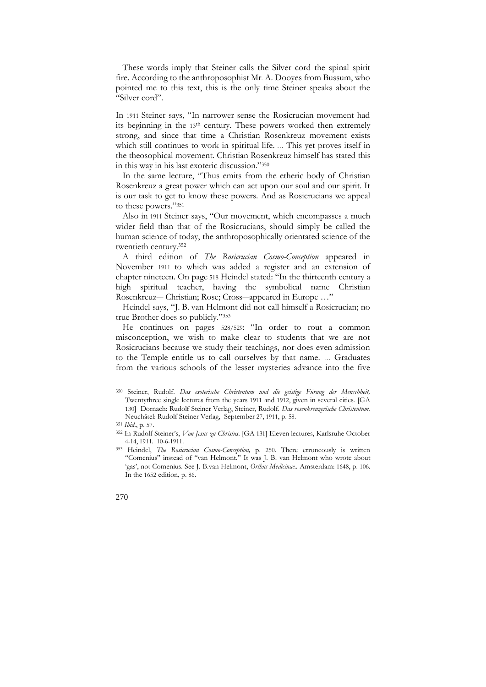These words imply that Steiner calls the Silver cord the spinal spirit fire. According to the anthroposophist Mr. A. Dooyes from Bussum, who pointed me to this text, this is the only time Steiner speaks about the "Silver cord".

In 1911 Steiner says, "In narrower sense the Rosicrucian movement had its beginning in the 13th century. These powers worked then extremely strong, and since that time a Christian Rosenkreuz movement exists which still continues to work in spiritual life. … This yet proves itself in the theosophical movement. Christian Rosenkreuz himself has stated this in this way in his last exoteric discussion."<sup>350</sup>

 In the same lecture, "Thus emits from the etheric body of Christian Rosenkreuz a great power which can act upon our soul and our spirit. It is our task to get to know these powers. And as Rosicrucians we appeal to these powers."<sup>351</sup>

 Also in 1911 Steiner says, "Our movement, which encompasses a much wider field than that of the Rosicrucians, should simply be called the human science of today, the anthroposophically orientated science of the twentieth century.<sup>352</sup>

 A third edition of *The Rosicrucian Cosmo-Conception* appeared in November 1911 to which was added a register and an extension of chapter nineteen. On page 518 Heindel stated: "In the thirteenth century a high spiritual teacher, having the symbolical name Christian Rosenkreuz― Christian; Rose; Cross―appeared in Europe …"

 Heindel says, "J. B. van Helmont did not call himself a Rosicrucian; no true Brother does so publicly."<sup>353</sup>

 He continues on pages 528/529: "In order to rout a common misconception, we wish to make clear to students that we are not Rosicrucians because we study their teachings, nor does even admission to the Temple entitle us to call ourselves by that name. … Graduates from the various schools of the lesser mysteries advance into the five

<sup>353</sup> Heindel, *The Rosicrucian Cosmo-Conception,* p. 250. There erroneously is written "Comenius" instead of "van Helmont." It was J. B. van Helmont who wrote about 'gas', not Comenius. See J. B.van Helmont, *Orthus Medicinae*.. Amsterdam: 1648, p. 106. In the 1652 edition, p. 86.



<sup>350</sup> Steiner, Rudolf. *Das esoterische Christentum und die geistige Fürung der Menschheit,* Twentythree single lectures from the years 1911 and 1912, given in several cities. [GA 130] Dornach: Rudolf Steiner Verlag, Steiner, Rudolf. *Das rosenkreuzerische Christentum.* Neuchâtel: Rudolf Steiner Verlag, September 27, 1911, p. 58.

<sup>351</sup> *Ibid*., p. 57.

<sup>352</sup> In Rudolf Steiner"s, *Von Jesus zu Christus*. [GA 131] Eleven lectures, Karlsruhe October 4-14, 1911. 10-6-1911.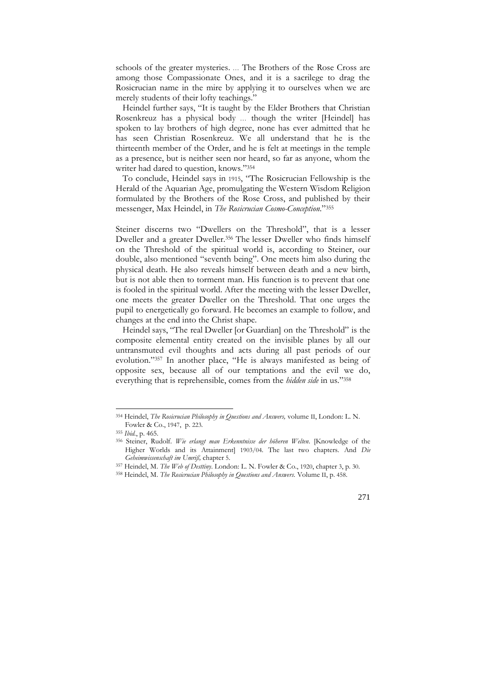schools of the greater mysteries. … The Brothers of the Rose Cross are among those Compassionate Ones, and it is a sacrilege to drag the Rosicrucian name in the mire by applying it to ourselves when we are merely students of their lofty teachings."

 Heindel further says, "It is taught by the Elder Brothers that Christian Rosenkreuz has a physical body … though the writer [Heindel] has spoken to lay brothers of high degree, none has ever admitted that he has seen Christian Rosenkreuz. We all understand that he is the thirteenth member of the Order, and he is felt at meetings in the temple as a presence, but is neither seen nor heard, so far as anyone, whom the writer had dared to question, knows."<sup>354</sup>

 To conclude, Heindel says in 1915, "The Rosicrucian Fellowship is the Herald of the Aquarian Age, promulgating the Western Wisdom Religion formulated by the Brothers of the Rose Cross, and published by their messenger, Max Heindel, in *The Rosicrucian Cosmo-Conception*."<sup>355</sup>

Steiner discerns two "Dwellers on the Threshold", that is a lesser Dweller and a greater Dweller.<sup>356</sup> The lesser Dweller who finds himself on the Threshold of the spiritual world is, according to Steiner, our double, also mentioned "seventh being". One meets him also during the physical death. He also reveals himself between death and a new birth, but is not able then to torment man. His function is to prevent that one is fooled in the spiritual world. After the meeting with the lesser Dweller, one meets the greater Dweller on the Threshold. That one urges the pupil to energetically go forward. He becomes an example to follow, and changes at the end into the Christ shape.

 Heindel says, "The real Dweller [or Guardian] on the Threshold" is the composite elemental entity created on the invisible planes by all our untransmuted evil thoughts and acts during all past periods of our evolution."<sup>357</sup> In another place, "He is always manifested as being of opposite sex, because all of our temptations and the evil we do, everything that is reprehensible, comes from the *hidden side* in us."<sup>358</sup>

<sup>354</sup> Heindel, *The Rosicrucian Philosophy in Questions and Answers,* volume II, London: L. N. Fowler & Co., 1947, p. 223.

<sup>355</sup> *Ibid.*, p. 465.

<sup>356</sup> Steiner, Rudolf. *Wie erlangt man Erkenntnisse der höheren Welten*. [Knowledge of the Higher Worlds and its Attainment] 1903/04. The last two chapters. And *Die Geheimwissenschaft im Umriß,* chapter 5.

<sup>357</sup> Heindel, M. *The Web of Desttiny*. London: L. N. Fowler & Co., 1920, chapter 3, p. 30.

<sup>358</sup> Heindel, M. *The Rosicrucian Philosophy in Questions and Answers.* Volume II, p. 458.

<sup>271</sup>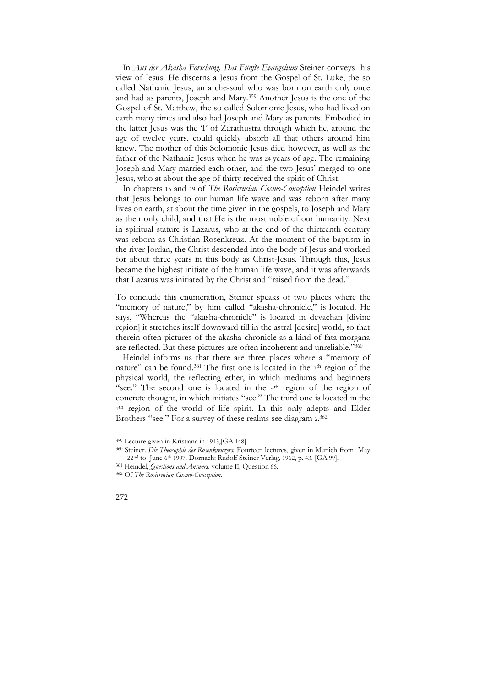In *Aus der Akasha Forschung. Das Fünfte Evangelium* Steiner conveys his view of Jesus. He discerns a Jesus from the Gospel of St. Luke, the so called Nathanic Jesus, an arche-soul who was born on earth only once and had as parents, Joseph and Mary.<sup>359</sup> Another Jesus is the one of the Gospel of St. Matthew, the so called Solomonic Jesus, who had lived on earth many times and also had Joseph and Mary as parents. Embodied in the latter Jesus was the "I" of Zarathustra through which he, around the age of twelve years, could quickly absorb all that others around him knew. The mother of this Solomonic Jesus died however, as well as the father of the Nathanic Jesus when he was 24 years of age. The remaining Joseph and Mary married each other, and the two Jesus' merged to one Jesus, who at about the age of thirty received the spirit of Christ.

 In chapters 15 and 19 of *The Rosicrucian Cosmo-Conception* Heindel writes that Jesus belongs to our human life wave and was reborn after many lives on earth, at about the time given in the gospels, to Joseph and Mary as their only child, and that He is the most noble of our humanity. Next in spiritual stature is Lazarus, who at the end of the thirteenth century was reborn as Christian Rosenkreuz. At the moment of the baptism in the river Jordan, the Christ descended into the body of Jesus and worked for about three years in this body as Christ-Jesus. Through this, Jesus became the highest initiate of the human life wave, and it was afterwards that Lazarus was initiated by the Christ and "raised from the dead."

To conclude this enumeration, Steiner speaks of two places where the "memory of nature," by him called "akasha-chronicle," is located. He says, "Whereas the "akasha-chronicle" is located in devachan [divine region] it stretches itself downward till in the astral [desire] world, so that therein often pictures of the akasha-chronicle as a kind of fata morgana are reflected. But these pictures are often incoherent and unreliable."<sup>360</sup>

Heindel informs us that there are three places where a "memory of nature" can be found.<sup>361</sup> The first one is located in the  $7<sup>th</sup>$  region of the physical world, the reflecting ether, in which mediums and beginners "see." The second one is located in the 4<sup>th</sup> region of the region of concrete thought, in which initiates "see." The third one is located in the 7<sup>th</sup> region of the world of life spirit. In this only adepts and Elder Brothers "see." For a survey of these realms see diagram 2. 362

<sup>362</sup> Of *The Rosicrucian Cosmo-Conception.*



<sup>359</sup> Lecture given in Kristiana in 1913,[GA 148]

<sup>360</sup> Steiner. *Die Theosophie des Rosenkreuzers,* Fourteen lectures, given in Munich from May 22<sup>nd</sup> to June 6<sup>th</sup> 1907. Dornach: Rudolf Steiner Verlag, 1962, p. 43. [GA 99].

<sup>361</sup> Heindel, *Questions and Answers,* volume II, Question 66.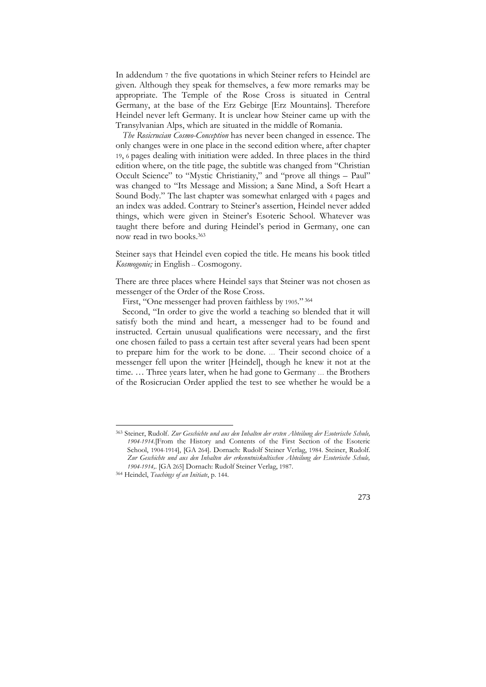In addendum 7 the five quotations in which Steiner refers to Heindel are given. Although they speak for themselves, a few more remarks may be appropriate. The Temple of the Rose Cross is situated in Central Germany, at the base of the Erz Gebirge [Erz Mountains]. Therefore Heindel never left Germany. It is unclear how Steiner came up with the Transylvanian Alps, which are situated in the middle of Romania.

 *The Rosicrucian Cosmo-Conception* has never been changed in essence. The only changes were in one place in the second edition where, after chapter 19, 6 pages dealing with initiation were added. In three places in the third edition where, on the title page, the subtitle was changed from "Christian Occult Science" to "Mystic Christianity," and "prove all things – Paul" was changed to "Its Message and Mission; a Sane Mind, a Soft Heart a Sound Body." The last chapter was somewhat enlarged with 4 pages and an index was added. Contrary to Steiner"s assertion, Heindel never added things, which were given in Steiner"s Esoteric School. Whatever was taught there before and during Heindel"s period in Germany, one can now read in two books.<sup>363</sup>

Steiner says that Heindel even copied the title. He means his book titled *Kosmogonie;* in English -- Cosmogony.

There are three places where Heindel says that Steiner was not chosen as messenger of the Order of the Rose Cross.

First, "One messenger had proven faithless by 1905." <sup>364</sup>

 Second, "In order to give the world a teaching so blended that it will satisfy both the mind and heart, a messenger had to be found and instructed. Certain unusual qualifications were necessary, and the first one chosen failed to pass a certain test after several years had been spent to prepare him for the work to be done. … Their second choice of a messenger fell upon the writer [Heindel], though he knew it not at the time. … Three years later, when he had gone to Germany … the Brothers of the Rosicrucian Order applied the test to see whether he would be a



<sup>363</sup> Steiner, Rudolf. *Zur Geschichte und aus den Inhalten der ersten Abteilung der Esoterische Schule, 1904-1914.*[From the History and Contents of the First Section of the Esoteric School, 1904-1914], [GA 264]. Dornach: Rudolf Steiner Verlag, 1984. Steiner, Rudolf. *Zur Geschichte und aus den Inhalten der erkenntniskultischen Abteilung der Esoterische Schule, 1904-1914,*. [GA 265] Dornach: Rudolf Steiner Verlag, 1987.

<sup>364</sup> Heindel, *Teachings of an Initiate*, p. 144.